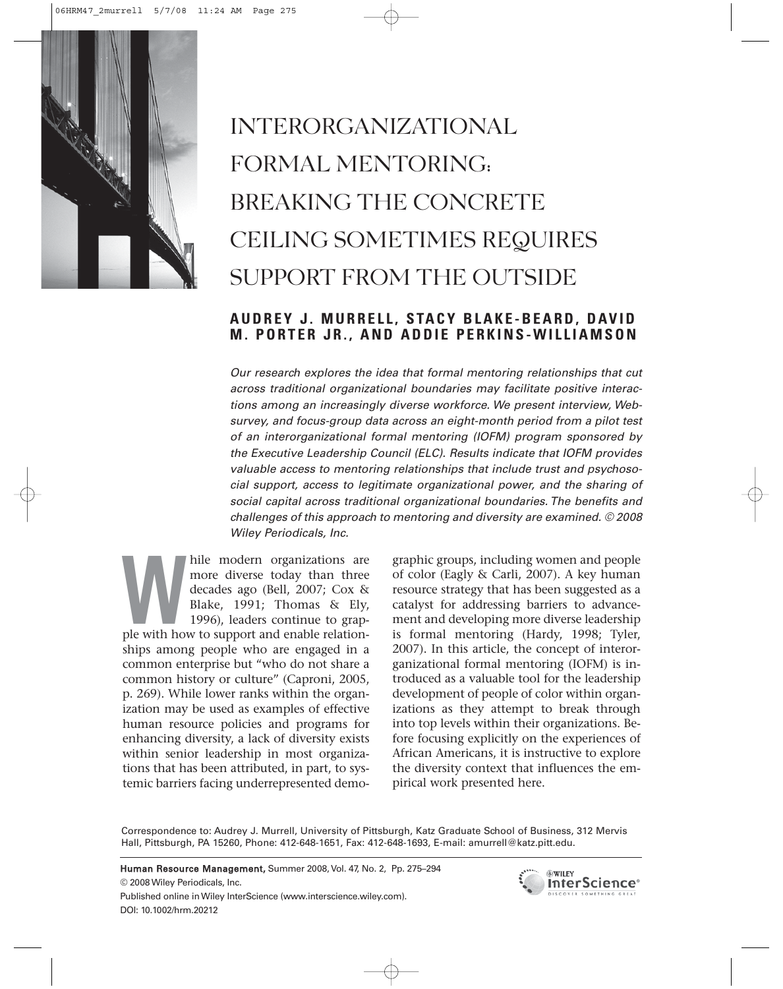

# INTERORGANIZATIONAL FORMAL MENTORING: BREAKING THE CONCRETE CEILING SOMETIMES REQUIRES SUPPORT FROM THE OUTSIDE

# **AUDREY J. MURRELL, STACY BLAKE-BEARD, DAVID M. PORTER JR., AND ADDIE PERKINS-WILLIAMSON**

Our research explores the idea that formal mentoring relationships that cut across traditional organizational boundaries may facilitate positive interactions among an increasingly diverse workforce. We present interview, Websurvey, and focus-group data across an eight-month period from a pilot test of an interorganizational formal mentoring (IOFM) program sponsored by the Executive Leadership Council (ELC). Results indicate that IOFM provides valuable access to mentoring relationships that include trust and psychosocial support, access to legitimate organizational power, and the sharing of social capital across traditional organizational boundaries. The benefits and challenges of this approach to mentoring and diversity are examined. © 2008 Wiley Periodicals, Inc.

**Ware the modern organizations are**<br>
more diverse today than three<br>
decades ago (Bell, 2007; Cox &<br>
Blake, 1991; Thomas & Ely,<br>
1996), leaders continue to grap-<br>
ple with how to support and enable relationmore diverse today than three decades ago (Bell, 2007; Cox & Blake, 1991; Thomas & Ely, 1996), leaders continue to grap-

ships among people who are engaged in a common enterprise but "who do not share a common history or culture" (Caproni, 2005, p. 269). While lower ranks within the organization may be used as examples of effective human resource policies and programs for enhancing diversity, a lack of diversity exists within senior leadership in most organizations that has been attributed, in part, to systemic barriers facing underrepresented demographic groups, including women and people of color (Eagly & Carli, 2007). A key human resource strategy that has been suggested as a catalyst for addressing barriers to advancement and developing more diverse leadership is formal mentoring (Hardy, 1998; Tyler, 2007). In this article, the concept of interorganizational formal mentoring (IOFM) is introduced as a valuable tool for the leadership development of people of color within organizations as they attempt to break through into top levels within their organizations. Before focusing explicitly on the experiences of African Americans, it is instructive to explore the diversity context that influences the empirical work presented here.

Correspondence to: Audrey J. Murrell, University of Pittsburgh, Katz Graduate School of Business, 312 Mervis Hall, Pittsburgh, PA 15260, Phone: 412-648-1651, Fax: 412-648-1693, E-mail: amurrell@katz.pitt.edu.

Human Resource Management, Summer 2008, Vol. 47, No. 2, Pp. 275–294 © 2008 Wiley Periodicals, Inc. Published online in Wiley InterScience (www.interscience.wiley.com). DOI: 10.1002/hrm.20212

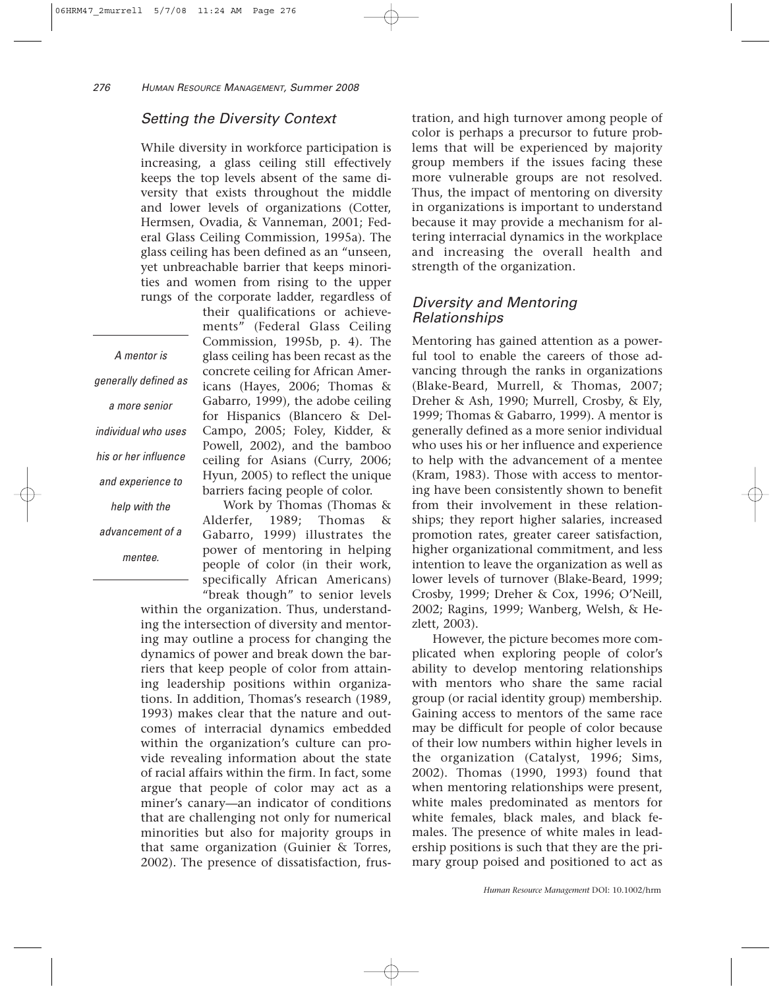## Setting the Diversity Context

While diversity in workforce participation is increasing, a glass ceiling still effectively keeps the top levels absent of the same diversity that exists throughout the middle and lower levels of organizations (Cotter, Hermsen, Ovadia, & Vanneman, 2001; Federal Glass Ceiling Commission, 1995a). The glass ceiling has been defined as an "unseen, yet unbreachable barrier that keeps minorities and women from rising to the upper rungs of the corporate ladder, regardless of

A mentor is generally defined as a more senior individual who uses his or her influence and experience to help with the advancement of a mentee.

their qualifications or achievements" (Federal Glass Ceiling Commission, 1995b, p. 4). The glass ceiling has been recast as the concrete ceiling for African Americans (Hayes, 2006; Thomas & Gabarro, 1999), the adobe ceiling for Hispanics (Blancero & Del-Campo, 2005; Foley, Kidder, & Powell, 2002), and the bamboo ceiling for Asians (Curry, 2006; Hyun, 2005) to reflect the unique barriers facing people of color.

Work by Thomas (Thomas & Alderfer, 1989; Thomas & Gabarro, 1999) illustrates the power of mentoring in helping people of color (in their work, specifically African Americans) "break though" to senior levels

within the organization. Thus, understanding the intersection of diversity and mentoring may outline a process for changing the dynamics of power and break down the barriers that keep people of color from attaining leadership positions within organizations. In addition, Thomas's research (1989, 1993) makes clear that the nature and outcomes of interracial dynamics embedded within the organization's culture can provide revealing information about the state of racial affairs within the firm. In fact, some argue that people of color may act as a miner's canary—an indicator of conditions that are challenging not only for numerical minorities but also for majority groups in that same organization (Guinier & Torres, 2002). The presence of dissatisfaction, frus-

tration, and high turnover among people of color is perhaps a precursor to future problems that will be experienced by majority group members if the issues facing these more vulnerable groups are not resolved. Thus, the impact of mentoring on diversity in organizations is important to understand because it may provide a mechanism for altering interracial dynamics in the workplace and increasing the overall health and strength of the organization.

## Diversity and Mentoring Relationships

Mentoring has gained attention as a powerful tool to enable the careers of those advancing through the ranks in organizations (Blake-Beard, Murrell, & Thomas, 2007; Dreher & Ash, 1990; Murrell, Crosby, & Ely, 1999; Thomas & Gabarro, 1999). A mentor is generally defined as a more senior individual who uses his or her influence and experience to help with the advancement of a mentee (Kram, 1983). Those with access to mentoring have been consistently shown to benefit from their involvement in these relationships; they report higher salaries, increased promotion rates, greater career satisfaction, higher organizational commitment, and less intention to leave the organization as well as lower levels of turnover (Blake-Beard, 1999; Crosby, 1999; Dreher & Cox, 1996; O'Neill, 2002; Ragins, 1999; Wanberg, Welsh, & Hezlett, 2003).

However, the picture becomes more complicated when exploring people of color's ability to develop mentoring relationships with mentors who share the same racial group (or racial identity group) membership. Gaining access to mentors of the same race may be difficult for people of color because of their low numbers within higher levels in the organization (Catalyst, 1996; Sims, 2002). Thomas (1990, 1993) found that when mentoring relationships were present, white males predominated as mentors for white females, black males, and black females. The presence of white males in leadership positions is such that they are the primary group poised and positioned to act as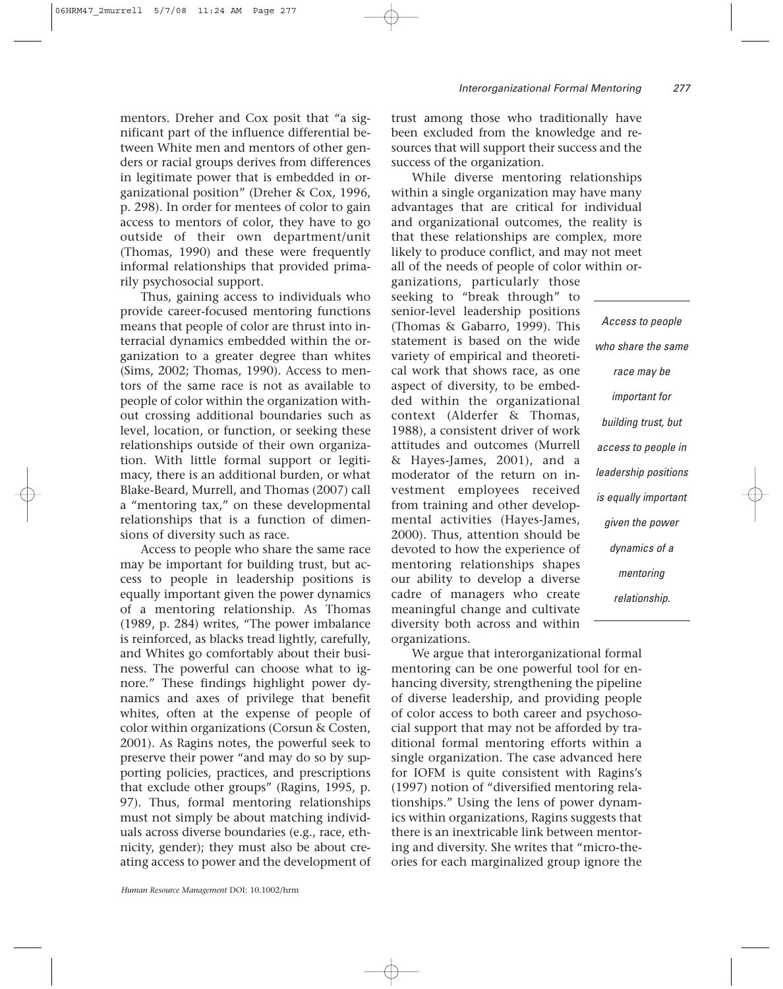mentors. Dreher and Cox posit that "a significant part of the influence differential between White men and mentors of other genders or racial groups derives from differences in legitimate power that is embedded in organizational position" (Dreher & Cox, 1996, p. 298). In order for mentees of color to gain access to mentors of color, they have to go outside of their own department/unit (Thomas, 1990) and these were frequently informal relationships that provided primarily psychosocial support.

Thus, gaining access to individuals who provide career-focused mentoring functions means that people of color are thrust into interracial dynamics embedded within the organization to a greater degree than whites (Sims, 2002; Thomas, 1990). Access to mentors of the same race is not as available to people of color within the organization without crossing additional boundaries such as level, location, or function, or seeking these relationships outside of their own organization. With little formal support or legitimacy, there is an additional burden, or what Blake-Beard, Murrell, and Thomas (2007) call a "mentoring tax," on these developmental relationships that is a function of dimensions of diversity such as race.

Access to people who share the same race may be important for building trust, but access to people in leadership positions is equally important given the power dynamics of a mentoring relationship. As Thomas (1989, p. 284) writes, "The power imbalance is reinforced, as blacks tread lightly, carefully, and Whites go comfortably about their business. The powerful can choose what to ignore." These findings highlight power dynamics and axes of privilege that benefit whites, often at the expense of people of color within organizations (Corsun & Costen, 2001). As Ragins notes, the powerful seek to preserve their power "and may do so by supporting policies, practices, and prescriptions that exclude other groups" (Ragins, 1995, p. 97). Thus, formal mentoring relationships must not simply be about matching individuals across diverse boundaries (e.g., race, ethnicity, gender); they must also be about creating access to power and the development of

trust among those who traditionally have been excluded from the knowledge and resources that will support their success and the success of the organization.

While diverse mentoring relationships within a single organization may have many advantages that are critical for individual and organizational outcomes, the reality is that these relationships are complex, more likely to produce conflict, and may not meet all of the needs of people of color within or-

ganizations, particularly those seeking to "break through" to senior-level leadership positions (Thomas & Gabarro, 1999). This statement is based on the wide variety of empirical and theoretical work that shows race, as one aspect of diversity, to be embedded within the organizational context (Alderfer & Thomas, 1988), a consistent driver of work attitudes and outcomes (Murrell & Hayes-James, 2001), and a moderator of the return on investment employees received from training and other developmental activities (Hayes-James, 2000). Thus, attention should be devoted to how the experience of mentoring relationships shapes our ability to develop a diverse cadre of managers who create meaningful change and cultivate diversity both across and within organizations.

Access to people who share the same race may be important for building trust, but access to people in leadership positions is equally important given the power dynamics of a mentoring relationship.

We argue that interorganizational formal mentoring can be one powerful tool for enhancing diversity, strengthening the pipeline of diverse leadership, and providing people of color access to both career and psychosocial support that may not be afforded by traditional formal mentoring efforts within a single organization. The case advanced here for IOFM is quite consistent with Ragins's (1997) notion of "diversified mentoring relationships." Using the lens of power dynamics within organizations, Ragins suggests that there is an inextricable link between mentoring and diversity. She writes that "micro-theories for each marginalized group ignore the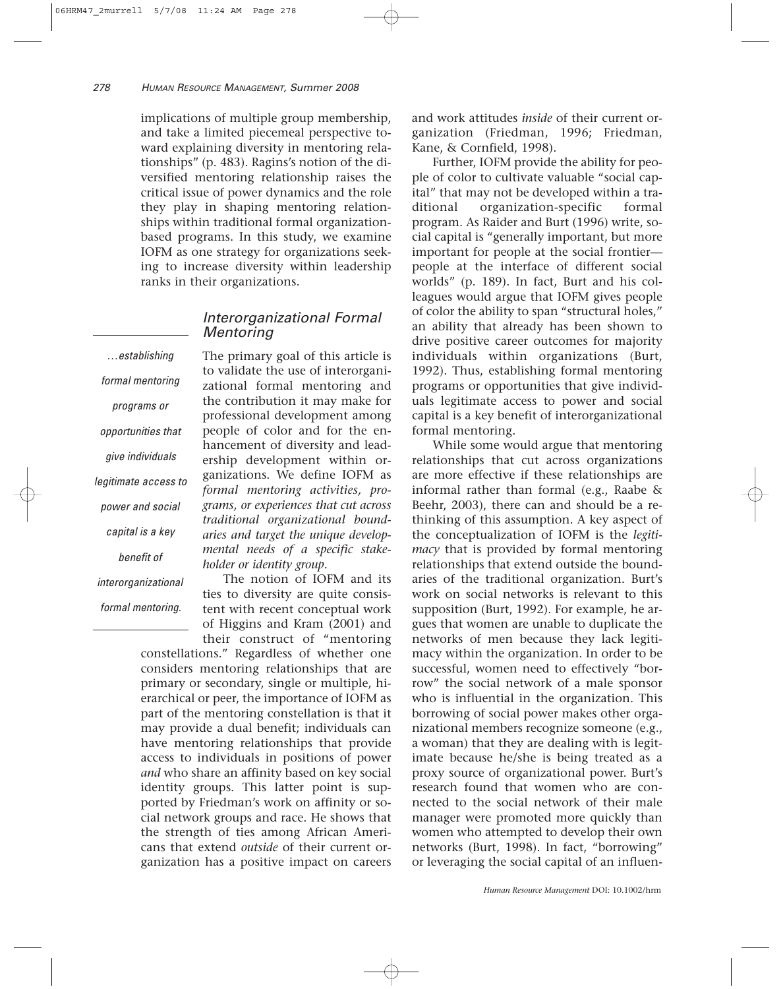implications of multiple group membership, and take a limited piecemeal perspective toward explaining diversity in mentoring relationships" (p. 483). Ragins's notion of the diversified mentoring relationship raises the critical issue of power dynamics and the role they play in shaping mentoring relationships within traditional formal organizationbased programs. In this study, we examine IOFM as one strategy for organizations seeking to increase diversity within leadership ranks in their organizations.

## Interorganizational Formal Mentoring

…establishing formal mentoring programs or opportunities that give individuals legitimate access to power and social capital is a key benefit of interorganizational formal mentoring.

The primary goal of this article is to validate the use of interorganizational formal mentoring and the contribution it may make for professional development among people of color and for the enhancement of diversity and leadership development within organizations. We define IOFM as *formal mentoring activities, programs, or experiences that cut across traditional organizational boundaries and target the unique developmental needs of a specific stakeholder or identity group.* 

The notion of IOFM and its ties to diversity are quite consistent with recent conceptual work of Higgins and Kram (2001) and their construct of "mentoring constellations." Regardless of whether one

considers mentoring relationships that are primary or secondary, single or multiple, hierarchical or peer, the importance of IOFM as part of the mentoring constellation is that it may provide a dual benefit; individuals can have mentoring relationships that provide access to individuals in positions of power *and* who share an affinity based on key social identity groups. This latter point is supported by Friedman's work on affinity or social network groups and race. He shows that the strength of ties among African Americans that extend *outside* of their current organization has a positive impact on careers

and work attitudes *inside* of their current organization (Friedman, 1996; Friedman, Kane, & Cornfield, 1998).

Further, IOFM provide the ability for people of color to cultivate valuable "social capital" that may not be developed within a traditional organization-specific formal program. As Raider and Burt (1996) write, social capital is "generally important, but more important for people at the social frontier people at the interface of different social worlds" (p. 189). In fact, Burt and his colleagues would argue that IOFM gives people of color the ability to span "structural holes," an ability that already has been shown to drive positive career outcomes for majority individuals within organizations (Burt, 1992). Thus, establishing formal mentoring programs or opportunities that give individuals legitimate access to power and social capital is a key benefit of interorganizational formal mentoring.

While some would argue that mentoring relationships that cut across organizations are more effective if these relationships are informal rather than formal (e.g., Raabe & Beehr, 2003), there can and should be a rethinking of this assumption. A key aspect of the conceptualization of IOFM is the *legitimacy* that is provided by formal mentoring relationships that extend outside the boundaries of the traditional organization. Burt's work on social networks is relevant to this supposition (Burt, 1992). For example, he argues that women are unable to duplicate the networks of men because they lack legitimacy within the organization. In order to be successful, women need to effectively "borrow" the social network of a male sponsor who is influential in the organization. This borrowing of social power makes other organizational members recognize someone (e.g., a woman) that they are dealing with is legitimate because he/she is being treated as a proxy source of organizational power. Burt's research found that women who are connected to the social network of their male manager were promoted more quickly than women who attempted to develop their own networks (Burt, 1998). In fact, "borrowing" or leveraging the social capital of an influen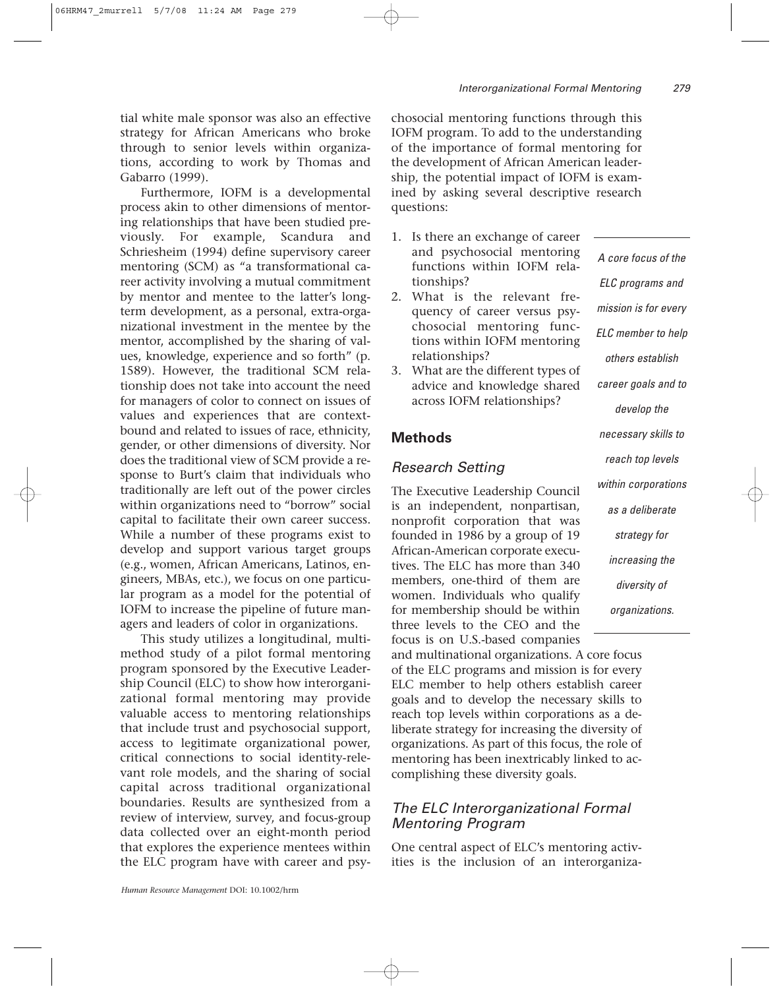tial white male sponsor was also an effective strategy for African Americans who broke through to senior levels within organizations, according to work by Thomas and Gabarro (1999).

Furthermore, IOFM is a developmental process akin to other dimensions of mentoring relationships that have been studied previously. For example, Scandura and Schriesheim (1994) define supervisory career mentoring (SCM) as "a transformational career activity involving a mutual commitment by mentor and mentee to the latter's longterm development, as a personal, extra-organizational investment in the mentee by the mentor, accomplished by the sharing of values, knowledge, experience and so forth" (p. 1589). However, the traditional SCM relationship does not take into account the need for managers of color to connect on issues of values and experiences that are contextbound and related to issues of race, ethnicity, gender, or other dimensions of diversity. Nor does the traditional view of SCM provide a response to Burt's claim that individuals who traditionally are left out of the power circles within organizations need to "borrow" social capital to facilitate their own career success. While a number of these programs exist to develop and support various target groups (e.g., women, African Americans, Latinos, engineers, MBAs, etc.), we focus on one particular program as a model for the potential of IOFM to increase the pipeline of future managers and leaders of color in organizations.

This study utilizes a longitudinal, multimethod study of a pilot formal mentoring program sponsored by the Executive Leadership Council (ELC) to show how interorganizational formal mentoring may provide valuable access to mentoring relationships that include trust and psychosocial support, access to legitimate organizational power, critical connections to social identity-relevant role models, and the sharing of social capital across traditional organizational boundaries. Results are synthesized from a review of interview, survey, and focus-group data collected over an eight-month period that explores the experience mentees within the ELC program have with career and psychosocial mentoring functions through this IOFM program. To add to the understanding of the importance of formal mentoring for the development of African American leadership, the potential impact of IOFM is examined by asking several descriptive research questions:

- 1. Is there an exchange of career and psychosocial mentoring functions within IOFM relationships?
- 2. What is the relevant frequency of career versus psychosocial mentoring functions within IOFM mentoring relationships?
- 3. What are the different types of advice and knowledge shared across IOFM relationships?

## **Methods**

#### Research Setting

The Executive Leadership Council is an independent, nonpartisan, nonprofit corporation that was founded in 1986 by a group of 19 African-American corporate executives. The ELC has more than 340 members, one-third of them are women. Individuals who qualify for membership should be within three levels to the CEO and the focus is on U.S.-based companies

and multinational organizations. A core focus of the ELC programs and mission is for every ELC member to help others establish career goals and to develop the necessary skills to reach top levels within corporations as a deliberate strategy for increasing the diversity of organizations. As part of this focus, the role of mentoring has been inextricably linked to accomplishing these diversity goals.

## The ELC Interorganizational Formal Mentoring Program

One central aspect of ELC's mentoring activities is the inclusion of an interorganiza-

A core focus of the ELC programs and mission is for every ELC member to help others establish career goals and to develop the necessary skills to reach top levels within corporations as a deliberate strategy for increasing the diversity of organizations.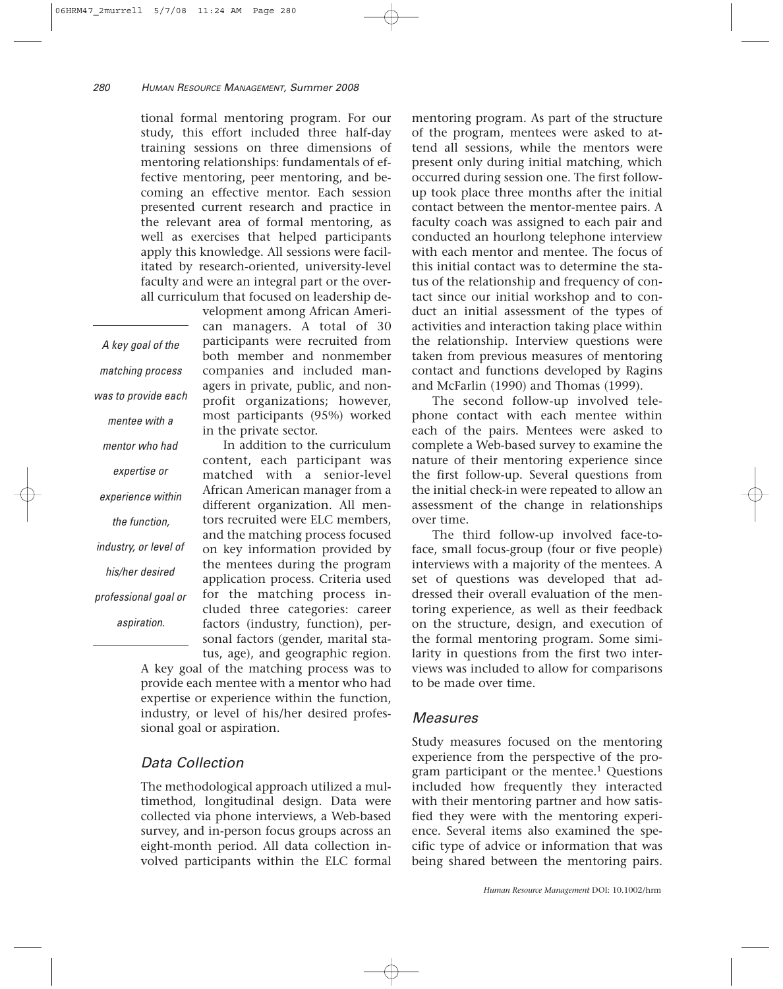tional formal mentoring program. For our study, this effort included three half-day training sessions on three dimensions of mentoring relationships: fundamentals of effective mentoring, peer mentoring, and becoming an effective mentor. Each session presented current research and practice in the relevant area of formal mentoring, as well as exercises that helped participants apply this knowledge. All sessions were facilitated by research-oriented, university-level faculty and were an integral part or the overall curriculum that focused on leadership de-

A key goal of the matching process was to provide each mentee with a mentor who had expertise or experience within the function, industry, or level of his/her desired professional goal or aspiration.

velopment among African American managers. A total of 30 participants were recruited from both member and nonmember companies and included managers in private, public, and nonprofit organizations; however, most participants (95%) worked in the private sector.

In addition to the curriculum content, each participant was matched with a senior-level African American manager from a different organization. All mentors recruited were ELC members, and the matching process focused on key information provided by the mentees during the program application process. Criteria used for the matching process included three categories: career factors (industry, function), personal factors (gender, marital status, age), and geographic region.

A key goal of the matching process was to provide each mentee with a mentor who had expertise or experience within the function, industry, or level of his/her desired professional goal or aspiration.

## Data Collection

The methodological approach utilized a multimethod, longitudinal design. Data were collected via phone interviews, a Web-based survey, and in-person focus groups across an eight-month period. All data collection involved participants within the ELC formal mentoring program. As part of the structure of the program, mentees were asked to attend all sessions, while the mentors were present only during initial matching, which occurred during session one. The first followup took place three months after the initial contact between the mentor-mentee pairs. A faculty coach was assigned to each pair and conducted an hourlong telephone interview with each mentor and mentee. The focus of this initial contact was to determine the status of the relationship and frequency of contact since our initial workshop and to conduct an initial assessment of the types of activities and interaction taking place within the relationship. Interview questions were taken from previous measures of mentoring contact and functions developed by Ragins and McFarlin (1990) and Thomas (1999).

The second follow-up involved telephone contact with each mentee within each of the pairs. Mentees were asked to complete a Web-based survey to examine the nature of their mentoring experience since the first follow-up. Several questions from the initial check-in were repeated to allow an assessment of the change in relationships over time.

The third follow-up involved face-toface, small focus-group (four or five people) interviews with a majority of the mentees. A set of questions was developed that addressed their overall evaluation of the mentoring experience, as well as their feedback on the structure, design, and execution of the formal mentoring program. Some similarity in questions from the first two interviews was included to allow for comparisons to be made over time.

## **Measures**

Study measures focused on the mentoring experience from the perspective of the program participant or the mentee.<sup>1</sup> Questions included how frequently they interacted with their mentoring partner and how satisfied they were with the mentoring experience. Several items also examined the specific type of advice or information that was being shared between the mentoring pairs.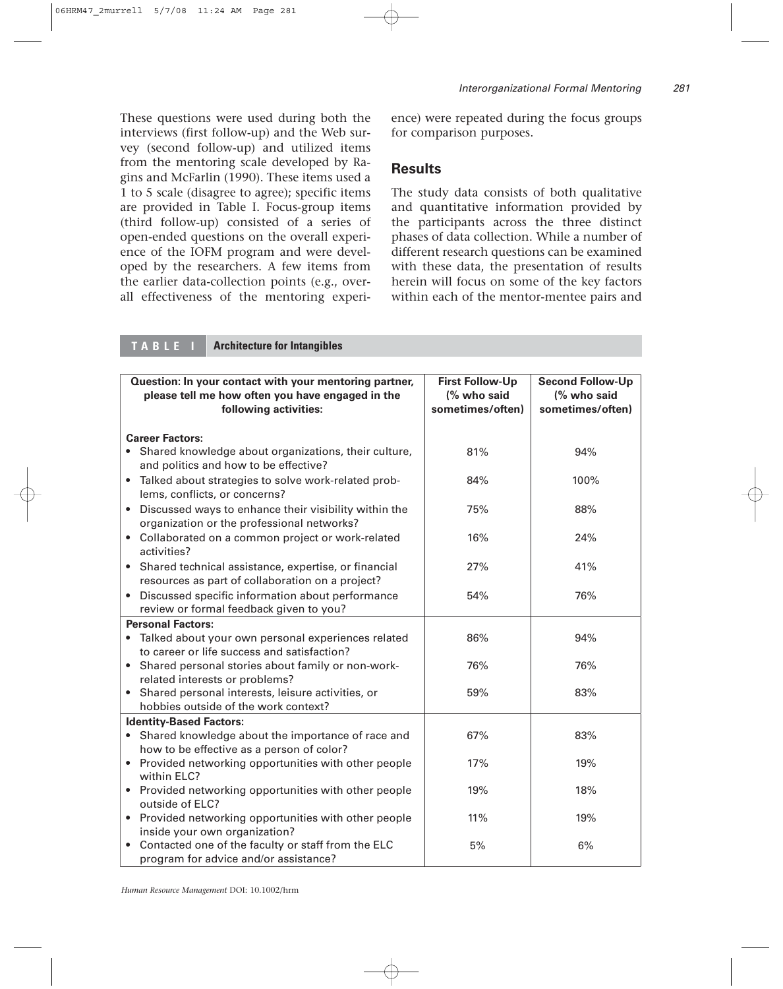These questions were used during both the interviews (first follow-up) and the Web survey (second follow-up) and utilized items from the mentoring scale developed by Ragins and McFarlin (1990). These items used a 1 to 5 scale (disagree to agree); specific items are provided in Table I. Focus-group items (third follow-up) consisted of a series of open-ended questions on the overall experience of the IOFM program and were developed by the researchers. A few items from the earlier data-collection points (e.g., overall effectiveness of the mentoring experience) were repeated during the focus groups for comparison purposes.

### **Results**

The study data consists of both qualitative and quantitative information provided by the participants across the three distinct phases of data collection. While a number of different research questions can be examined with these data, the presentation of results herein will focus on some of the key factors within each of the mentor-mentee pairs and

#### **TABLE I Architecture for Intangibles**

|                                | Question: In your contact with your mentoring partner,<br>please tell me how often you have engaged in the<br>following activities: | <b>First Follow-Up</b><br>(% who said<br>sometimes/often) | <b>Second Follow-Up</b><br>(% who said<br>sometimes/often) |
|--------------------------------|-------------------------------------------------------------------------------------------------------------------------------------|-----------------------------------------------------------|------------------------------------------------------------|
| <b>Career Factors:</b>         |                                                                                                                                     |                                                           |                                                            |
|                                | Shared knowledge about organizations, their culture,<br>and politics and how to be effective?                                       | 81%                                                       | 94%                                                        |
| $\bullet$                      | Talked about strategies to solve work-related prob-<br>lems, conflicts, or concerns?                                                | 84%                                                       | 100%                                                       |
|                                | Discussed ways to enhance their visibility within the<br>organization or the professional networks?                                 | 75%                                                       | 88%                                                        |
| $\bullet$                      | Collaborated on a common project or work-related<br>activities?                                                                     | 16%                                                       | 24%                                                        |
|                                | • Shared technical assistance, expertise, or financial<br>resources as part of collaboration on a project?                          | 27%                                                       | 41%                                                        |
| $\bullet$                      | Discussed specific information about performance<br>review or formal feedback given to you?                                         | 54%                                                       | 76%                                                        |
| <b>Personal Factors:</b>       |                                                                                                                                     |                                                           |                                                            |
|                                | Talked about your own personal experiences related<br>to career or life success and satisfaction?                                   | 86%                                                       | 94%                                                        |
| $\bullet$                      | Shared personal stories about family or non-work-<br>related interests or problems?                                                 | 76%                                                       | 76%                                                        |
|                                | • Shared personal interests, leisure activities, or<br>hobbies outside of the work context?                                         | 59%                                                       | 83%                                                        |
| <b>Identity-Based Factors:</b> |                                                                                                                                     |                                                           |                                                            |
|                                | Shared knowledge about the importance of race and<br>how to be effective as a person of color?                                      | 67%                                                       | 83%                                                        |
| $\bullet$                      | Provided networking opportunities with other people<br>within ELC?                                                                  | 17%                                                       | 19%                                                        |
| $\bullet$                      | Provided networking opportunities with other people<br>outside of ELC?                                                              | 19%                                                       | 18%                                                        |
|                                | • Provided networking opportunities with other people<br>inside your own organization?                                              | 11%                                                       | 19%                                                        |
|                                | Contacted one of the faculty or staff from the ELC<br>program for advice and/or assistance?                                         | 5%                                                        | 6%                                                         |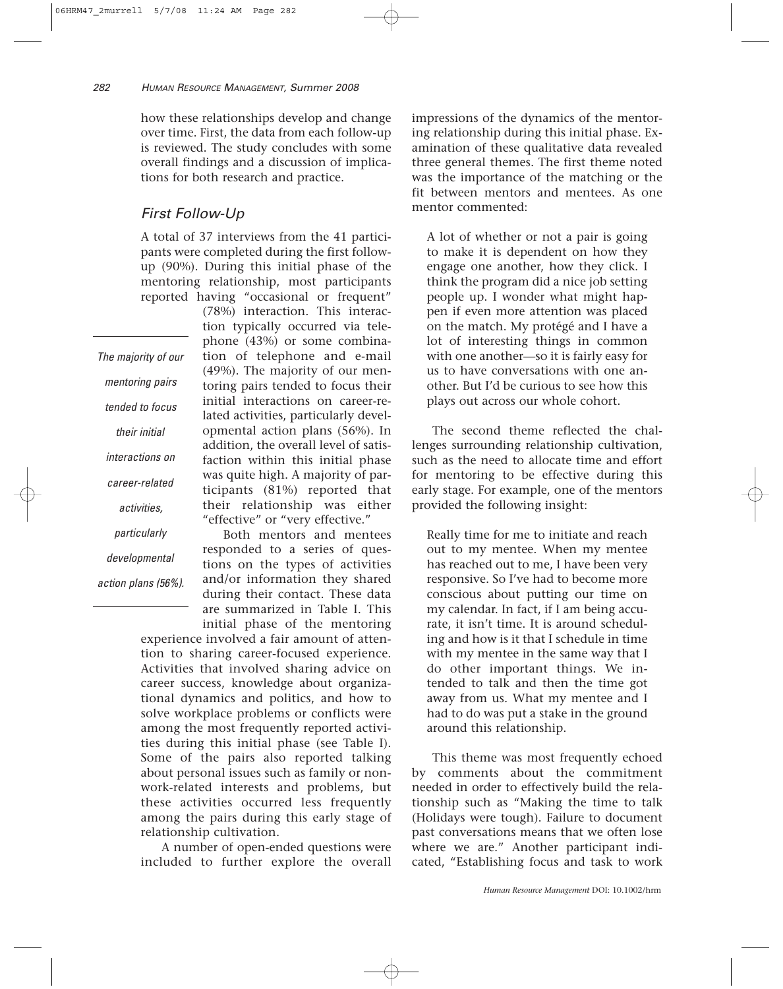how these relationships develop and change over time. First, the data from each follow-up is reviewed. The study concludes with some overall findings and a discussion of implications for both research and practice.

# First Follow-Up

A total of 37 interviews from the 41 participants were completed during the first followup (90%). During this initial phase of the mentoring relationship, most participants reported having "occasional or frequent"

The majority of our mentoring pairs tended to focus their initial interactions on career-related activities, particularly developmental action plans (56%). (78%) interaction. This interaction typically occurred via telephone (43%) or some combination of telephone and e-mail (49%). The majority of our mentoring pairs tended to focus their initial interactions on career-related activities, particularly developmental action plans (56%). In addition, the overall level of satisfaction within this initial phase was quite high. A majority of participants (81%) reported that their relationship was either "effective" or "very effective."

Both mentors and mentees responded to a series of questions on the types of activities and/or information they shared during their contact. These data are summarized in Table I. This initial phase of the mentoring

experience involved a fair amount of attention to sharing career-focused experience. Activities that involved sharing advice on career success, knowledge about organizational dynamics and politics, and how to solve workplace problems or conflicts were among the most frequently reported activities during this initial phase (see Table I). Some of the pairs also reported talking about personal issues such as family or nonwork-related interests and problems, but these activities occurred less frequently among the pairs during this early stage of relationship cultivation.

A number of open-ended questions were included to further explore the overall

impressions of the dynamics of the mentoring relationship during this initial phase. Examination of these qualitative data revealed three general themes. The first theme noted was the importance of the matching or the fit between mentors and mentees. As one mentor commented:

A lot of whether or not a pair is going to make it is dependent on how they engage one another, how they click. I think the program did a nice job setting people up. I wonder what might happen if even more attention was placed on the match. My protégé and I have a lot of interesting things in common with one another—so it is fairly easy for us to have conversations with one another. But I'd be curious to see how this plays out across our whole cohort.

The second theme reflected the challenges surrounding relationship cultivation, such as the need to allocate time and effort for mentoring to be effective during this early stage. For example, one of the mentors provided the following insight:

Really time for me to initiate and reach out to my mentee. When my mentee has reached out to me, I have been very responsive. So I've had to become more conscious about putting our time on my calendar. In fact, if I am being accurate, it isn't time. It is around scheduling and how is it that I schedule in time with my mentee in the same way that I do other important things. We intended to talk and then the time got away from us. What my mentee and I had to do was put a stake in the ground around this relationship.

This theme was most frequently echoed by comments about the commitment needed in order to effectively build the relationship such as "Making the time to talk (Holidays were tough). Failure to document past conversations means that we often lose where we are." Another participant indicated, "Establishing focus and task to work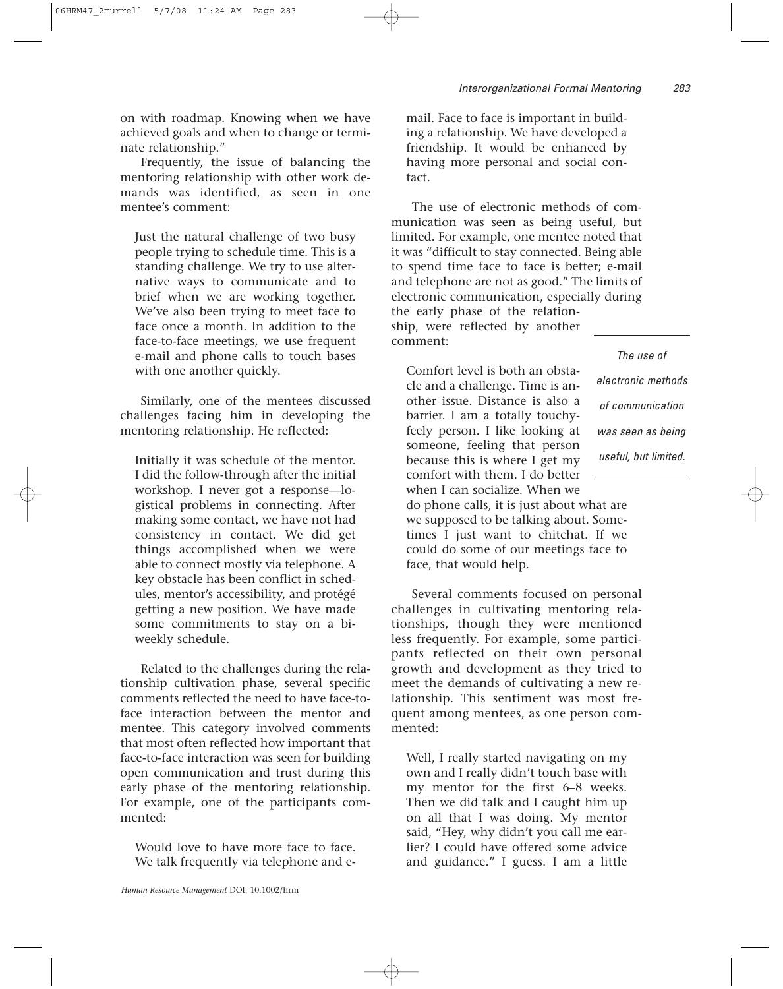on with roadmap. Knowing when we have achieved goals and when to change or terminate relationship."

Frequently, the issue of balancing the mentoring relationship with other work demands was identified, as seen in one mentee's comment:

Just the natural challenge of two busy people trying to schedule time. This is a standing challenge. We try to use alternative ways to communicate and to brief when we are working together. We've also been trying to meet face to face once a month. In addition to the face-to-face meetings, we use frequent e-mail and phone calls to touch bases with one another quickly.

Similarly, one of the mentees discussed challenges facing him in developing the mentoring relationship. He reflected:

Initially it was schedule of the mentor. I did the follow-through after the initial workshop. I never got a response—logistical problems in connecting. After making some contact, we have not had consistency in contact. We did get things accomplished when we were able to connect mostly via telephone. A key obstacle has been conflict in schedules, mentor's accessibility, and protégé getting a new position. We have made some commitments to stay on a biweekly schedule.

Related to the challenges during the relationship cultivation phase, several specific comments reflected the need to have face-toface interaction between the mentor and mentee. This category involved comments that most often reflected how important that face-to-face interaction was seen for building open communication and trust during this early phase of the mentoring relationship. For example, one of the participants commented:

Would love to have more face to face. We talk frequently via telephone and email. Face to face is important in building a relationship. We have developed a friendship. It would be enhanced by having more personal and social contact.

The use of electronic methods of communication was seen as being useful, but limited. For example, one mentee noted that it was "difficult to stay connected. Being able to spend time face to face is better; e-mail and telephone are not as good." The limits of electronic communication, especially during the early phase of the relationship, were reflected by another comment:

Comfort level is both an obstacle and a challenge. Time is another issue. Distance is also a barrier. I am a totally touchyfeely person. I like looking at someone, feeling that person because this is where I get my comfort with them. I do better when I can socialize. When we do phone calls, it is just about what are we supposed to be talking about. Sometimes I just want to chitchat. If we could do some of our meetings face to face, that would help.

Several comments focused on personal challenges in cultivating mentoring relationships, though they were mentioned less frequently. For example, some participants reflected on their own personal growth and development as they tried to meet the demands of cultivating a new relationship. This sentiment was most frequent among mentees, as one person commented:

Well, I really started navigating on my own and I really didn't touch base with my mentor for the first 6–8 weeks. Then we did talk and I caught him up on all that I was doing. My mentor said, "Hey, why didn't you call me earlier? I could have offered some advice and guidance." I guess. I am a little

The use of

electronic methods of communication was seen as being useful, but limited.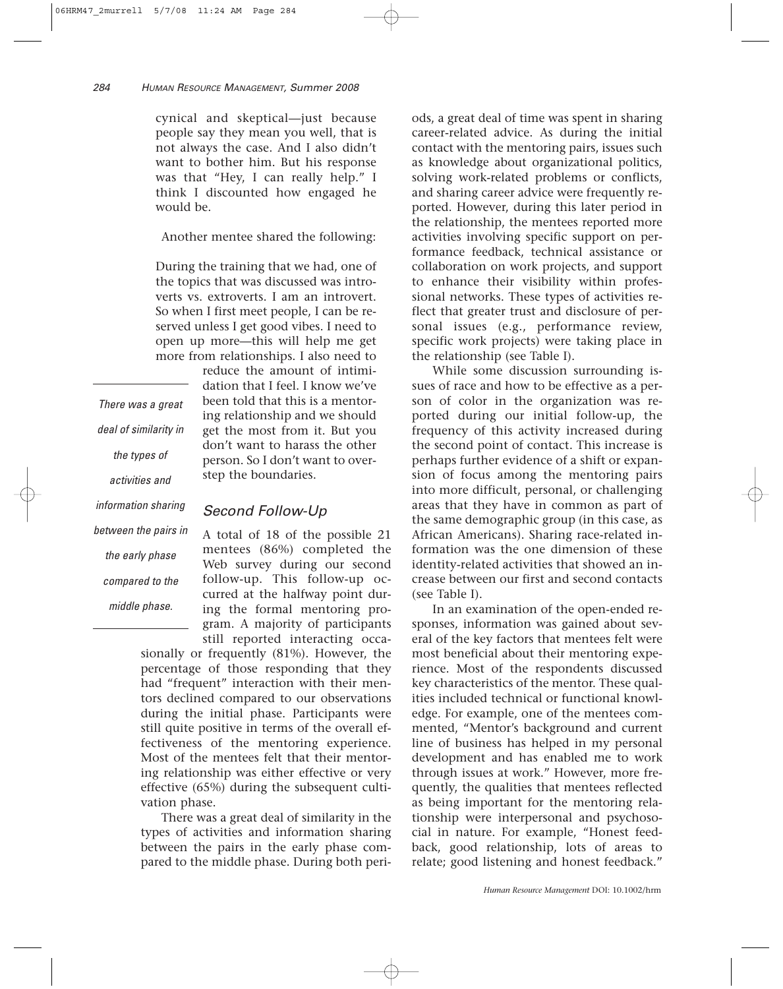cynical and skeptical—just because people say they mean you well, that is not always the case. And I also didn't want to bother him. But his response was that "Hey, I can really help." I think I discounted how engaged he would be.

Another mentee shared the following:

During the training that we had, one of the topics that was discussed was introverts vs. extroverts. I am an introvert. So when I first meet people, I can be reserved unless I get good vibes. I need to open up more—this will help me get more from relationships. I also need to

There was a great deal of similarity in the types of activities and information sharing between the pairs in the early phase compared to the middle phase.

reduce the amount of intimidation that I feel. I know we've been told that this is a mentoring relationship and we should get the most from it. But you don't want to harass the other person. So I don't want to overstep the boundaries.

## Second Follow-Up

A total of 18 of the possible 21 mentees (86%) completed the Web survey during our second follow-up. This follow-up occurred at the halfway point during the formal mentoring program. A majority of participants still reported interacting occa-

sionally or frequently (81%). However, the percentage of those responding that they had "frequent" interaction with their mentors declined compared to our observations during the initial phase. Participants were still quite positive in terms of the overall effectiveness of the mentoring experience. Most of the mentees felt that their mentoring relationship was either effective or very effective (65%) during the subsequent cultivation phase.

There was a great deal of similarity in the types of activities and information sharing between the pairs in the early phase compared to the middle phase. During both periods, a great deal of time was spent in sharing career-related advice. As during the initial contact with the mentoring pairs, issues such as knowledge about organizational politics, solving work-related problems or conflicts, and sharing career advice were frequently reported. However, during this later period in the relationship, the mentees reported more activities involving specific support on performance feedback, technical assistance or collaboration on work projects, and support to enhance their visibility within professional networks. These types of activities reflect that greater trust and disclosure of personal issues (e.g., performance review, specific work projects) were taking place in the relationship (see Table I).

While some discussion surrounding issues of race and how to be effective as a person of color in the organization was reported during our initial follow-up, the frequency of this activity increased during the second point of contact. This increase is perhaps further evidence of a shift or expansion of focus among the mentoring pairs into more difficult, personal, or challenging areas that they have in common as part of the same demographic group (in this case, as African Americans). Sharing race-related information was the one dimension of these identity-related activities that showed an increase between our first and second contacts (see Table I).

In an examination of the open-ended responses, information was gained about several of the key factors that mentees felt were most beneficial about their mentoring experience. Most of the respondents discussed key characteristics of the mentor. These qualities included technical or functional knowledge. For example, one of the mentees commented, "Mentor's background and current line of business has helped in my personal development and has enabled me to work through issues at work." However, more frequently, the qualities that mentees reflected as being important for the mentoring relationship were interpersonal and psychosocial in nature. For example, "Honest feedback, good relationship, lots of areas to relate; good listening and honest feedback."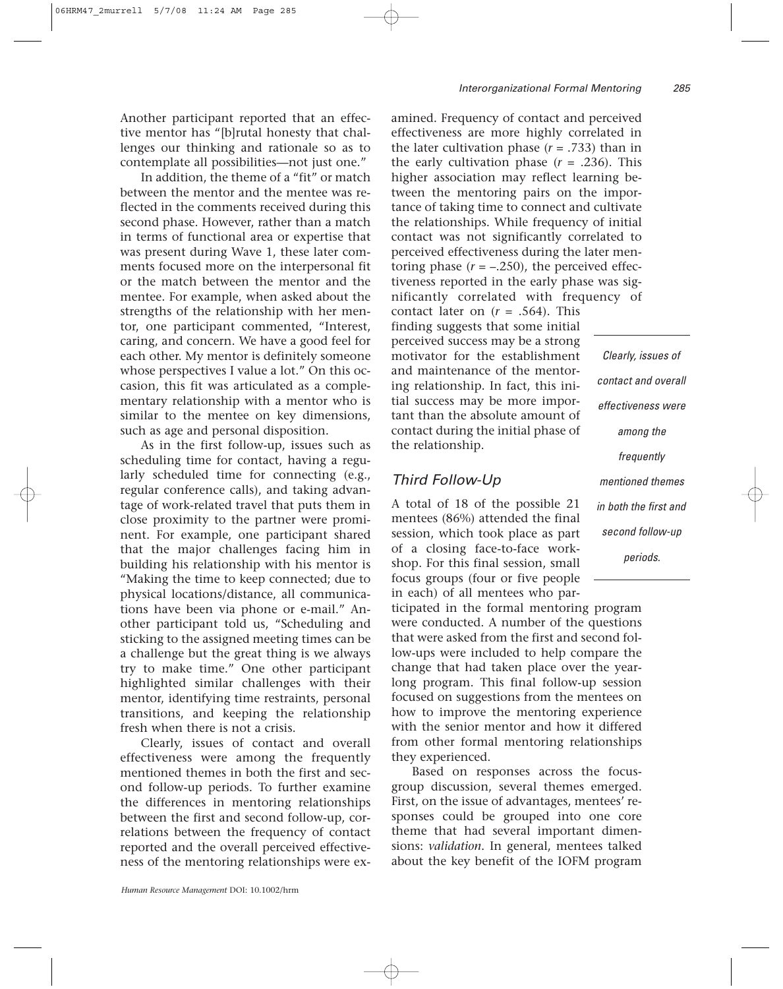Another participant reported that an effective mentor has "[b]rutal honesty that challenges our thinking and rationale so as to contemplate all possibilities—not just one."

In addition, the theme of a "fit" or match between the mentor and the mentee was reflected in the comments received during this second phase. However, rather than a match in terms of functional area or expertise that was present during Wave 1, these later comments focused more on the interpersonal fit or the match between the mentor and the mentee. For example, when asked about the strengths of the relationship with her mentor, one participant commented, "Interest, caring, and concern. We have a good feel for each other. My mentor is definitely someone whose perspectives I value a lot." On this occasion, this fit was articulated as a complementary relationship with a mentor who is similar to the mentee on key dimensions, such as age and personal disposition.

As in the first follow-up, issues such as scheduling time for contact, having a regularly scheduled time for connecting (e.g., regular conference calls), and taking advantage of work-related travel that puts them in close proximity to the partner were prominent. For example, one participant shared that the major challenges facing him in building his relationship with his mentor is "Making the time to keep connected; due to physical locations/distance, all communications have been via phone or e-mail." Another participant told us, "Scheduling and sticking to the assigned meeting times can be a challenge but the great thing is we always try to make time." One other participant highlighted similar challenges with their mentor, identifying time restraints, personal transitions, and keeping the relationship fresh when there is not a crisis.

Clearly, issues of contact and overall effectiveness were among the frequently mentioned themes in both the first and second follow-up periods. To further examine the differences in mentoring relationships between the first and second follow-up, correlations between the frequency of contact reported and the overall perceived effectiveness of the mentoring relationships were examined. Frequency of contact and perceived effectiveness are more highly correlated in the later cultivation phase  $(r = .733)$  than in the early cultivation phase  $(r = .236)$ . This higher association may reflect learning between the mentoring pairs on the importance of taking time to connect and cultivate the relationships. While frequency of initial contact was not significantly correlated to perceived effectiveness during the later mentoring phase  $(r = -.250)$ , the perceived effectiveness reported in the early phase was significantly correlated with frequency of contact later on  $(r = .564)$ . This finding suggests that some initial perceived success may be a strong motivator for the establishment and maintenance of the mentoring relationship. In fact, this initial success may be more important than the absolute amount of contact during the initial phase of the relationship.

## Third Follow-Up

A total of 18 of the possible 21 mentees (86%) attended the final session, which took place as part of a closing face-to-face workshop. For this final session, small focus groups (four or five people in each) of all mentees who par-

ticipated in the formal mentoring program were conducted. A number of the questions that were asked from the first and second follow-ups were included to help compare the change that had taken place over the yearlong program. This final follow-up session focused on suggestions from the mentees on how to improve the mentoring experience with the senior mentor and how it differed from other formal mentoring relationships they experienced.

Based on responses across the focusgroup discussion, several themes emerged. First, on the issue of advantages, mentees' responses could be grouped into one core theme that had several important dimensions: *validation*. In general, mentees talked about the key benefit of the IOFM program

Clearly, issues of contact and overall effectiveness were among the frequently mentioned themes in both the first and second follow-up periods.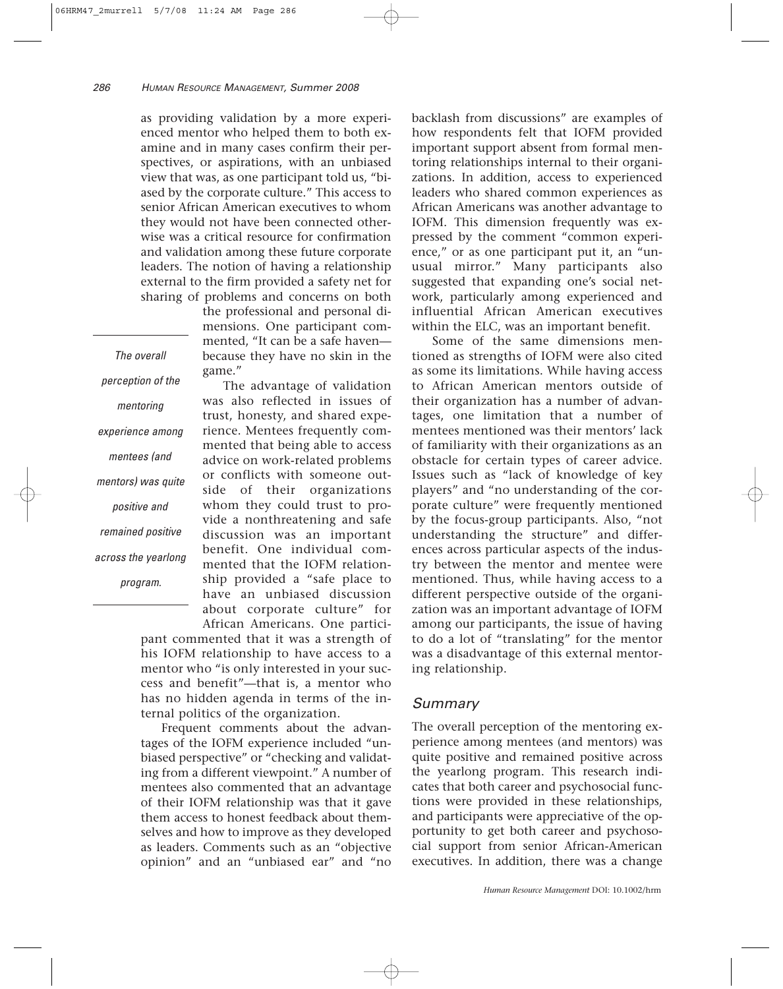as providing validation by a more experienced mentor who helped them to both examine and in many cases confirm their perspectives, or aspirations, with an unbiased view that was, as one participant told us, "biased by the corporate culture." This access to senior African American executives to whom they would not have been connected otherwise was a critical resource for confirmation and validation among these future corporate leaders. The notion of having a relationship external to the firm provided a safety net for sharing of problems and concerns on both

The overall perception of the mentoring experience among mentees (and mentors) was quite positive and remained positive across the yearlong program.

the professional and personal dimensions. One participant commented, "It can be a safe haven because they have no skin in the game."

The advantage of validation was also reflected in issues of trust, honesty, and shared experience. Mentees frequently commented that being able to access advice on work-related problems or conflicts with someone outside of their organizations whom they could trust to provide a nonthreatening and safe discussion was an important benefit. One individual commented that the IOFM relationship provided a "safe place to have an unbiased discussion about corporate culture" for African Americans. One partici-

pant commented that it was a strength of his IOFM relationship to have access to a mentor who "is only interested in your success and benefit"—that is, a mentor who has no hidden agenda in terms of the internal politics of the organization.

Frequent comments about the advantages of the IOFM experience included "unbiased perspective" or "checking and validating from a different viewpoint." A number of mentees also commented that an advantage of their IOFM relationship was that it gave them access to honest feedback about themselves and how to improve as they developed as leaders. Comments such as an "objective opinion" and an "unbiased ear" and "no

backlash from discussions" are examples of how respondents felt that IOFM provided important support absent from formal mentoring relationships internal to their organizations. In addition, access to experienced leaders who shared common experiences as African Americans was another advantage to IOFM. This dimension frequently was expressed by the comment "common experience," or as one participant put it, an "unusual mirror." Many participants also suggested that expanding one's social network, particularly among experienced and influential African American executives within the ELC, was an important benefit.

Some of the same dimensions mentioned as strengths of IOFM were also cited as some its limitations. While having access to African American mentors outside of their organization has a number of advantages, one limitation that a number of mentees mentioned was their mentors' lack of familiarity with their organizations as an obstacle for certain types of career advice. Issues such as "lack of knowledge of key players" and "no understanding of the corporate culture" were frequently mentioned by the focus-group participants. Also, "not understanding the structure" and differences across particular aspects of the industry between the mentor and mentee were mentioned. Thus, while having access to a different perspective outside of the organization was an important advantage of IOFM among our participants, the issue of having to do a lot of "translating" for the mentor was a disadvantage of this external mentoring relationship.

## **Summary**

The overall perception of the mentoring experience among mentees (and mentors) was quite positive and remained positive across the yearlong program. This research indicates that both career and psychosocial functions were provided in these relationships, and participants were appreciative of the opportunity to get both career and psychosocial support from senior African-American executives. In addition, there was a change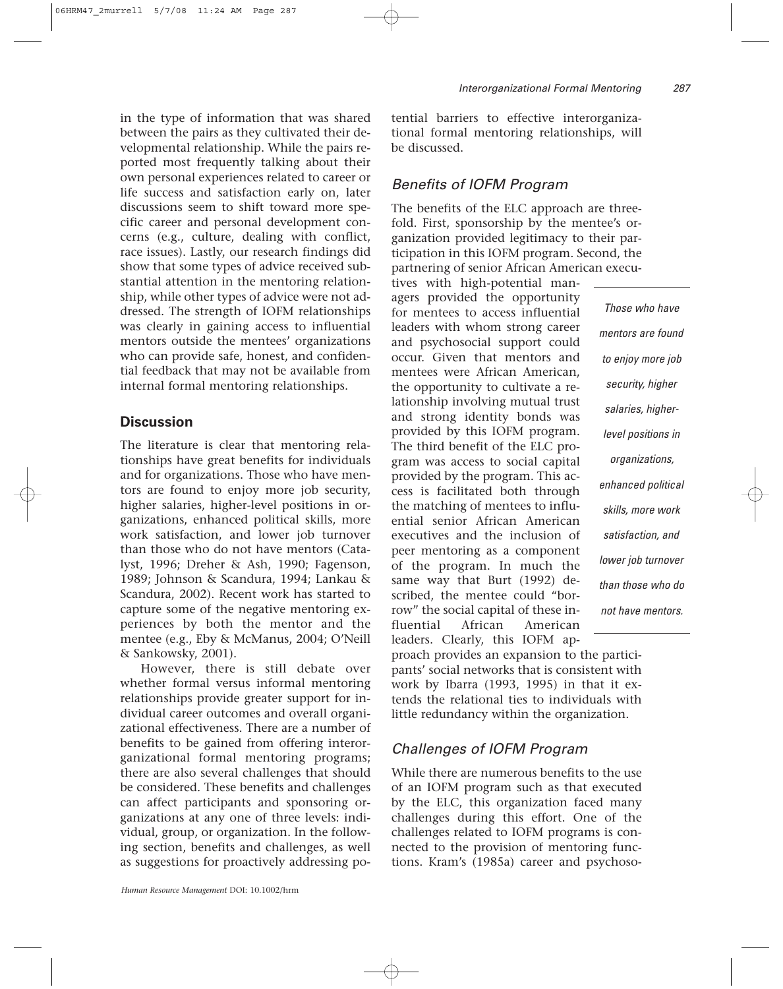in the type of information that was shared between the pairs as they cultivated their developmental relationship. While the pairs reported most frequently talking about their own personal experiences related to career or life success and satisfaction early on, later discussions seem to shift toward more specific career and personal development concerns (e.g., culture, dealing with conflict, race issues). Lastly, our research findings did show that some types of advice received substantial attention in the mentoring relationship, while other types of advice were not addressed. The strength of IOFM relationships was clearly in gaining access to influential mentors outside the mentees' organizations who can provide safe, honest, and confidential feedback that may not be available from internal formal mentoring relationships.

## **Discussion**

The literature is clear that mentoring relationships have great benefits for individuals and for organizations. Those who have mentors are found to enjoy more job security, higher salaries, higher-level positions in organizations, enhanced political skills, more work satisfaction, and lower job turnover than those who do not have mentors (Catalyst, 1996; Dreher & Ash, 1990; Fagenson, 1989; Johnson & Scandura, 1994; Lankau & Scandura, 2002). Recent work has started to capture some of the negative mentoring experiences by both the mentor and the mentee (e.g., Eby & McManus, 2004; O'Neill & Sankowsky, 2001).

However, there is still debate over whether formal versus informal mentoring relationships provide greater support for individual career outcomes and overall organizational effectiveness. There are a number of benefits to be gained from offering interorganizational formal mentoring programs; there are also several challenges that should be considered. These benefits and challenges can affect participants and sponsoring organizations at any one of three levels: individual, group, or organization. In the following section, benefits and challenges, as well as suggestions for proactively addressing potential barriers to effective interorganizational formal mentoring relationships, will be discussed.

## Benefits of IOFM Program

The benefits of the ELC approach are threefold. First, sponsorship by the mentee's organization provided legitimacy to their participation in this IOFM program. Second, the partnering of senior African American execu-

tives with high-potential managers provided the opportunity for mentees to access influential leaders with whom strong career and psychosocial support could occur. Given that mentors and mentees were African American, the opportunity to cultivate a relationship involving mutual trust and strong identity bonds was provided by this IOFM program. The third benefit of the ELC program was access to social capital provided by the program. This access is facilitated both through the matching of mentees to influential senior African American executives and the inclusion of peer mentoring as a component of the program. In much the same way that Burt (1992) described, the mentee could "borrow" the social capital of these influential African American leaders. Clearly, this IOFM ap-

Those who have mentors are found to enjoy more job security, higher salaries, higherlevel positions in organizations, enhanced political skills, more work satisfaction, and lower job turnover than those who do not have mentors.

proach provides an expansion to the participants' social networks that is consistent with work by Ibarra (1993, 1995) in that it extends the relational ties to individuals with little redundancy within the organization.

## Challenges of IOFM Program

While there are numerous benefits to the use of an IOFM program such as that executed by the ELC, this organization faced many challenges during this effort. One of the challenges related to IOFM programs is connected to the provision of mentoring functions. Kram's (1985a) career and psychoso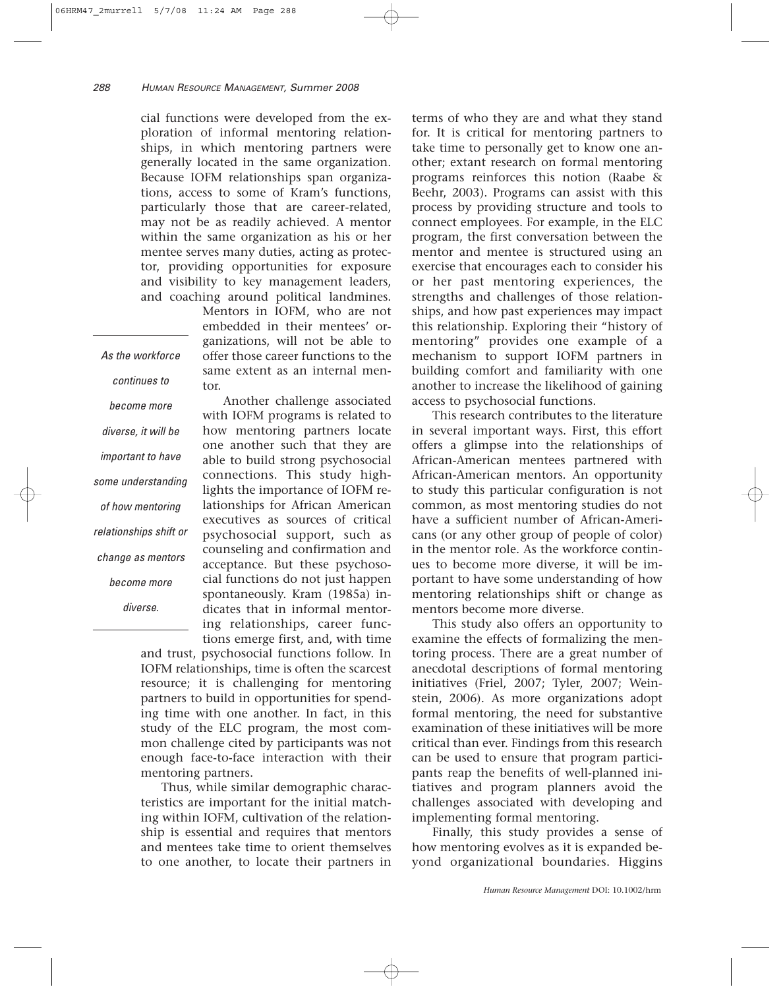cial functions were developed from the exploration of informal mentoring relationships, in which mentoring partners were generally located in the same organization. Because IOFM relationships span organizations, access to some of Kram's functions, particularly those that are career-related, may not be as readily achieved. A mentor within the same organization as his or her mentee serves many duties, acting as protector, providing opportunities for exposure and visibility to key management leaders, and coaching around political landmines.

As the workforce continues to become more diverse, it will be important to have some understanding of how mentoring relationships shift or change as mentors become more diverse.

Mentors in IOFM, who are not embedded in their mentees' organizations, will not be able to offer those career functions to the same extent as an internal mentor.

Another challenge associated with IOFM programs is related to how mentoring partners locate one another such that they are able to build strong psychosocial connections. This study highlights the importance of IOFM relationships for African American executives as sources of critical psychosocial support, such as counseling and confirmation and acceptance. But these psychosocial functions do not just happen spontaneously. Kram (1985a) indicates that in informal mentoring relationships, career functions emerge first, and, with time

and trust, psychosocial functions follow. In IOFM relationships, time is often the scarcest resource; it is challenging for mentoring partners to build in opportunities for spending time with one another. In fact, in this study of the ELC program, the most common challenge cited by participants was not enough face-to-face interaction with their mentoring partners.

Thus, while similar demographic characteristics are important for the initial matching within IOFM, cultivation of the relationship is essential and requires that mentors and mentees take time to orient themselves to one another, to locate their partners in

terms of who they are and what they stand for. It is critical for mentoring partners to take time to personally get to know one another; extant research on formal mentoring programs reinforces this notion (Raabe & Beehr, 2003). Programs can assist with this process by providing structure and tools to connect employees. For example, in the ELC program, the first conversation between the mentor and mentee is structured using an exercise that encourages each to consider his or her past mentoring experiences, the strengths and challenges of those relationships, and how past experiences may impact this relationship. Exploring their "history of mentoring" provides one example of a mechanism to support IOFM partners in building comfort and familiarity with one another to increase the likelihood of gaining access to psychosocial functions.

This research contributes to the literature in several important ways. First, this effort offers a glimpse into the relationships of African-American mentees partnered with African-American mentors. An opportunity to study this particular configuration is not common, as most mentoring studies do not have a sufficient number of African-Americans (or any other group of people of color) in the mentor role. As the workforce continues to become more diverse, it will be important to have some understanding of how mentoring relationships shift or change as mentors become more diverse.

This study also offers an opportunity to examine the effects of formalizing the mentoring process. There are a great number of anecdotal descriptions of formal mentoring initiatives (Friel, 2007; Tyler, 2007; Weinstein, 2006). As more organizations adopt formal mentoring, the need for substantive examination of these initiatives will be more critical than ever. Findings from this research can be used to ensure that program participants reap the benefits of well-planned initiatives and program planners avoid the challenges associated with developing and implementing formal mentoring.

Finally, this study provides a sense of how mentoring evolves as it is expanded beyond organizational boundaries. Higgins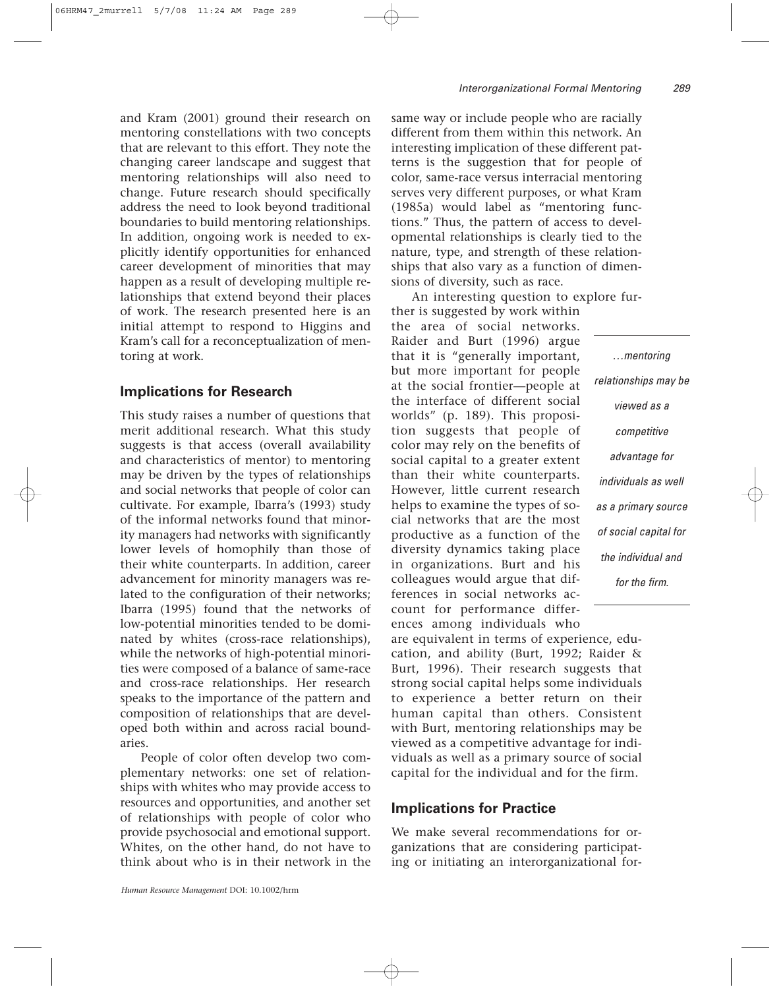and Kram (2001) ground their research on mentoring constellations with two concepts that are relevant to this effort. They note the changing career landscape and suggest that mentoring relationships will also need to change. Future research should specifically address the need to look beyond traditional boundaries to build mentoring relationships. In addition, ongoing work is needed to explicitly identify opportunities for enhanced career development of minorities that may happen as a result of developing multiple relationships that extend beyond their places of work. The research presented here is an initial attempt to respond to Higgins and Kram's call for a reconceptualization of mentoring at work.

#### **Implications for Research**

This study raises a number of questions that merit additional research. What this study suggests is that access (overall availability and characteristics of mentor) to mentoring may be driven by the types of relationships and social networks that people of color can cultivate. For example, Ibarra's (1993) study of the informal networks found that minority managers had networks with significantly lower levels of homophily than those of their white counterparts. In addition, career advancement for minority managers was related to the configuration of their networks; Ibarra (1995) found that the networks of low-potential minorities tended to be dominated by whites (cross-race relationships), while the networks of high-potential minorities were composed of a balance of same-race and cross-race relationships. Her research speaks to the importance of the pattern and composition of relationships that are developed both within and across racial boundaries.

People of color often develop two complementary networks: one set of relationships with whites who may provide access to resources and opportunities, and another set of relationships with people of color who provide psychosocial and emotional support. Whites, on the other hand, do not have to think about who is in their network in the same way or include people who are racially different from them within this network. An interesting implication of these different patterns is the suggestion that for people of color, same-race versus interracial mentoring serves very different purposes, or what Kram (1985a) would label as "mentoring functions." Thus, the pattern of access to developmental relationships is clearly tied to the nature, type, and strength of these relationships that also vary as a function of dimensions of diversity, such as race.

An interesting question to explore further is suggested by work within the area of social networks. Raider and Burt (1996) argue that it is "generally important, but more important for people at the social frontier—people at the interface of different social worlds" (p. 189). This proposition suggests that people of color may rely on the benefits of social capital to a greater extent than their white counterparts. However, little current research helps to examine the types of social networks that are the most productive as a function of the diversity dynamics taking place in organizations. Burt and his colleagues would argue that differences in social networks account for performance differ-…mentoring relationships may be viewed as a competitive advantage for individuals as well as a primary source of social capital for the individual and for the firm.

ences among individuals who are equivalent in terms of experience, education, and ability (Burt, 1992; Raider & Burt, 1996). Their research suggests that strong social capital helps some individuals to experience a better return on their human capital than others. Consistent with Burt, mentoring relationships may be viewed as a competitive advantage for individuals as well as a primary source of social capital for the individual and for the firm.

#### **Implications for Practice**

We make several recommendations for organizations that are considering participating or initiating an interorganizational for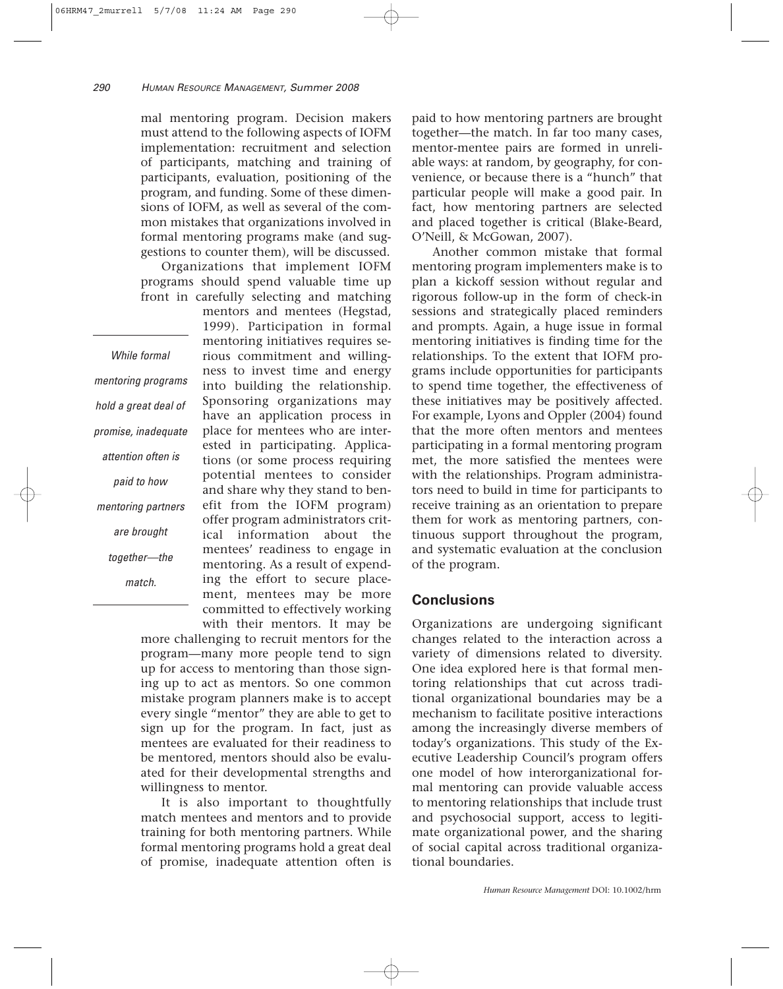mal mentoring program. Decision makers must attend to the following aspects of IOFM implementation: recruitment and selection of participants, matching and training of participants, evaluation, positioning of the program, and funding. Some of these dimensions of IOFM, as well as several of the common mistakes that organizations involved in formal mentoring programs make (and suggestions to counter them), will be discussed.

Organizations that implement IOFM programs should spend valuable time up front in carefully selecting and matching

While formal mentoring programs hold a great deal of promise, inadequate attention often is paid to how mentoring partners are brought together—the match.

mentors and mentees (Hegstad, 1999). Participation in formal mentoring initiatives requires serious commitment and willingness to invest time and energy into building the relationship. Sponsoring organizations may have an application process in place for mentees who are interested in participating. Applications (or some process requiring potential mentees to consider and share why they stand to benefit from the IOFM program) offer program administrators critical information about the mentees' readiness to engage in mentoring. As a result of expending the effort to secure placement, mentees may be more committed to effectively working

with their mentors. It may be more challenging to recruit mentors for the program—many more people tend to sign up for access to mentoring than those signing up to act as mentors. So one common mistake program planners make is to accept every single "mentor" they are able to get to sign up for the program. In fact, just as mentees are evaluated for their readiness to be mentored, mentors should also be evaluated for their developmental strengths and willingness to mentor.

It is also important to thoughtfully match mentees and mentors and to provide training for both mentoring partners. While formal mentoring programs hold a great deal of promise, inadequate attention often is paid to how mentoring partners are brought together—the match. In far too many cases, mentor-mentee pairs are formed in unreliable ways: at random, by geography, for convenience, or because there is a "hunch" that particular people will make a good pair. In fact, how mentoring partners are selected and placed together is critical (Blake-Beard, O'Neill, & McGowan, 2007).

Another common mistake that formal mentoring program implementers make is to plan a kickoff session without regular and rigorous follow-up in the form of check-in sessions and strategically placed reminders and prompts. Again, a huge issue in formal mentoring initiatives is finding time for the relationships. To the extent that IOFM programs include opportunities for participants to spend time together, the effectiveness of these initiatives may be positively affected. For example, Lyons and Oppler (2004) found that the more often mentors and mentees participating in a formal mentoring program met, the more satisfied the mentees were with the relationships. Program administrators need to build in time for participants to receive training as an orientation to prepare them for work as mentoring partners, continuous support throughout the program, and systematic evaluation at the conclusion of the program.

## **Conclusions**

Organizations are undergoing significant changes related to the interaction across a variety of dimensions related to diversity. One idea explored here is that formal mentoring relationships that cut across traditional organizational boundaries may be a mechanism to facilitate positive interactions among the increasingly diverse members of today's organizations. This study of the Executive Leadership Council's program offers one model of how interorganizational formal mentoring can provide valuable access to mentoring relationships that include trust and psychosocial support, access to legitimate organizational power, and the sharing of social capital across traditional organizational boundaries.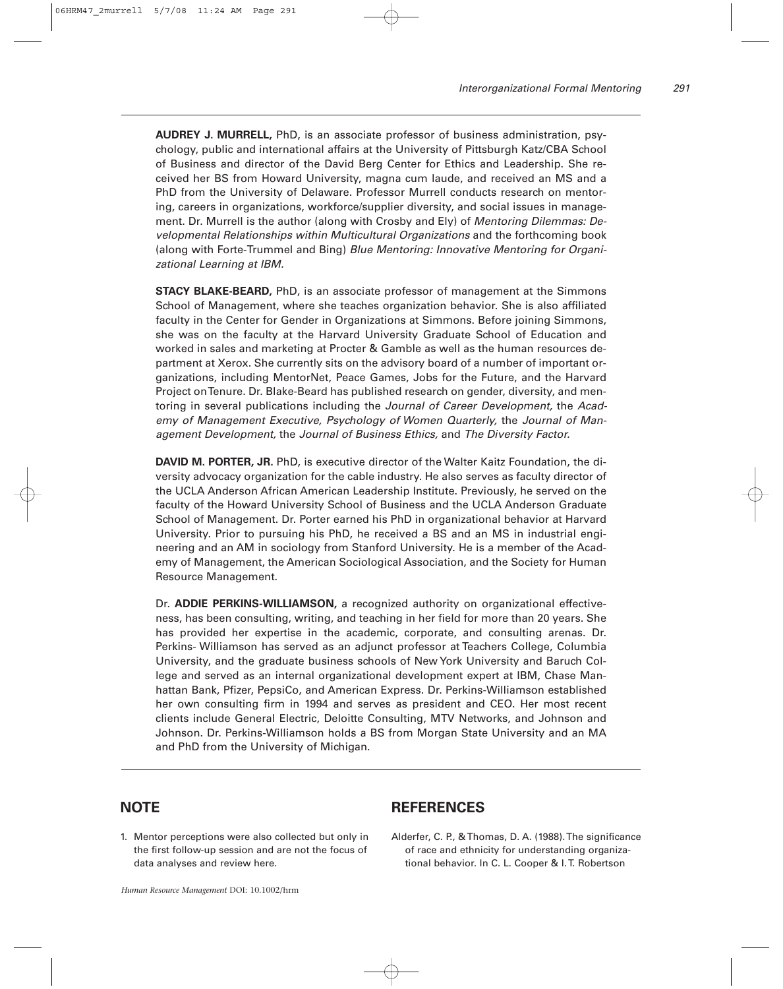**AUDREY J. MURRELL,** PhD, is an associate professor of business administration, psychology, public and international affairs at the University of Pittsburgh Katz/CBA School of Business and director of the David Berg Center for Ethics and Leadership. She received her BS from Howard University, magna cum laude, and received an MS and a PhD from the University of Delaware. Professor Murrell conducts research on mentoring, careers in organizations, workforce/supplier diversity, and social issues in management. Dr. Murrell is the author (along with Crosby and Ely) of Mentoring Dilemmas: Developmental Relationships within Multicultural Organizations and the forthcoming book (along with Forte-Trummel and Bing) Blue Mentoring: Innovative Mentoring for Organizational Learning at IBM.

**STACY BLAKE-BEARD,** PhD, is an associate professor of management at the Simmons School of Management, where she teaches organization behavior. She is also affiliated faculty in the Center for Gender in Organizations at Simmons. Before joining Simmons, she was on the faculty at the Harvard University Graduate School of Education and worked in sales and marketing at Procter & Gamble as well as the human resources department at Xerox. She currently sits on the advisory board of a number of important organizations, including MentorNet, Peace Games, Jobs for the Future, and the Harvard Project on Tenure. Dr. Blake-Beard has published research on gender, diversity, and mentoring in several publications including the Journal of Career Development, the Academy of Management Executive, Psychology of Women Quarterly, the Journal of Management Development, the Journal of Business Ethics, and The Diversity Factor.

**DAVID M. PORTER, JR.** PhD, is executive director of the Walter Kaitz Foundation, the diversity advocacy organization for the cable industry. He also serves as faculty director of the UCLA Anderson African American Leadership Institute. Previously, he served on the faculty of the Howard University School of Business and the UCLA Anderson Graduate School of Management. Dr. Porter earned his PhD in organizational behavior at Harvard University. Prior to pursuing his PhD, he received a BS and an MS in industrial engineering and an AM in sociology from Stanford University. He is a member of the Academy of Management, the American Sociological Association, and the Society for Human Resource Management.

Dr. **ADDIE PERKINS-WILLIAMSON,** a recognized authority on organizational effectiveness, has been consulting, writing, and teaching in her field for more than 20 years. She has provided her expertise in the academic, corporate, and consulting arenas. Dr. Perkins- Williamson has served as an adjunct professor at Teachers College, Columbia University, and the graduate business schools of New York University and Baruch College and served as an internal organizational development expert at IBM, Chase Manhattan Bank, Pfizer, PepsiCo, and American Express. Dr. Perkins-Williamson established her own consulting firm in 1994 and serves as president and CEO. Her most recent clients include General Electric, Deloitte Consulting, MTV Networks, and Johnson and Johnson. Dr. Perkins-Williamson holds a BS from Morgan State University and an MA and PhD from the University of Michigan.

## **NOTE**

- **REFERENCES**
- 1. Mentor perceptions were also collected but only in the first follow-up session and are not the focus of data analyses and review here.

Alderfer, C. P., & Thomas, D. A. (1988). The significance of race and ethnicity for understanding organizational behavior. In C. L. Cooper & I. T. Robertson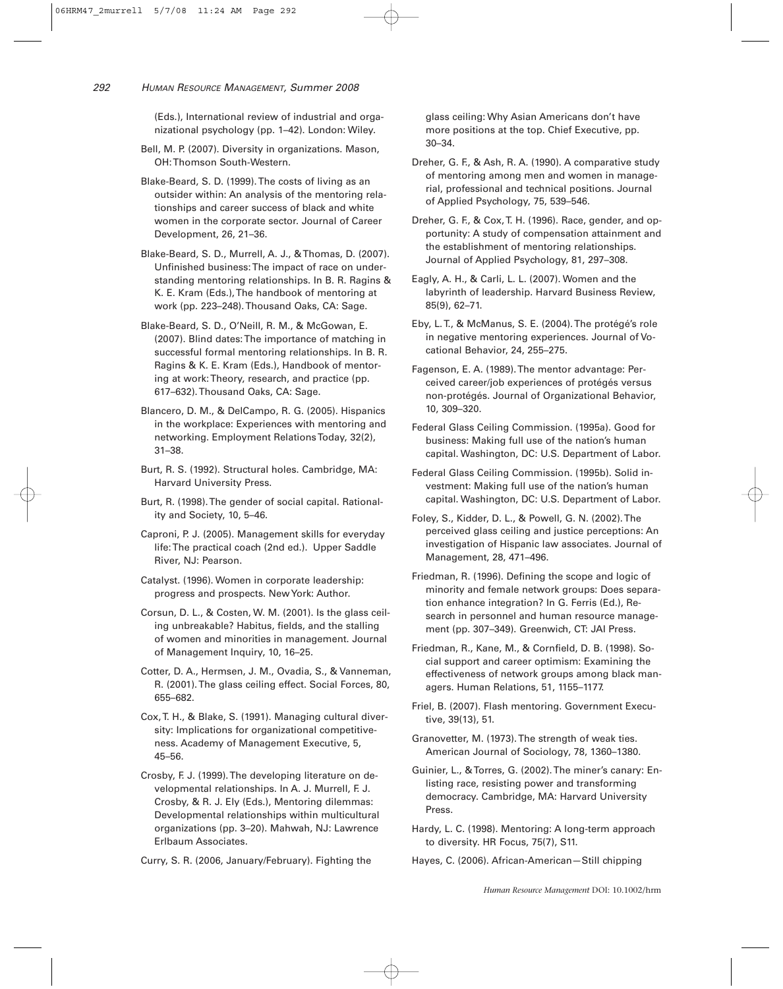(Eds.), International review of industrial and organizational psychology (pp. 1–42). London: Wiley.

Bell, M. P. (2007). Diversity in organizations. Mason, OH: Thomson South-Western.

Blake-Beard, S. D. (1999). The costs of living as an outsider within: An analysis of the mentoring relationships and career success of black and white women in the corporate sector. Journal of Career Development, 26, 21–36.

Blake-Beard, S. D., Murrell, A. J., & Thomas, D. (2007). Unfinished business: The impact of race on understanding mentoring relationships. In B. R. Ragins & K. E. Kram (Eds.), The handbook of mentoring at work (pp. 223–248). Thousand Oaks, CA: Sage.

Blake-Beard, S. D., O'Neill, R. M., & McGowan, E. (2007). Blind dates: The importance of matching in successful formal mentoring relationships. In B. R. Ragins & K. E. Kram (Eds.), Handbook of mentoring at work: Theory, research, and practice (pp. 617–632). Thousand Oaks, CA: Sage.

Blancero, D. M., & DelCampo, R. G. (2005). Hispanics in the workplace: Experiences with mentoring and networking. Employment Relations Today, 32(2), 31–38.

Burt, R. S. (1992). Structural holes. Cambridge, MA: Harvard University Press.

Burt, R. (1998). The gender of social capital. Rationality and Society, 10, 5–46.

Caproni, P. J. (2005). Management skills for everyday life: The practical coach (2nd ed.). Upper Saddle River, NJ: Pearson.

Catalyst. (1996). Women in corporate leadership: progress and prospects. New York: Author.

Corsun, D. L., & Costen, W. M. (2001). Is the glass ceiling unbreakable? Habitus, fields, and the stalling of women and minorities in management. Journal of Management Inquiry, 10, 16–25.

Cotter, D. A., Hermsen, J. M., Ovadia, S., & Vanneman, R. (2001). The glass ceiling effect. Social Forces, 80, 655–682.

Cox, T. H., & Blake, S. (1991). Managing cultural diversity: Implications for organizational competitiveness. Academy of Management Executive, 5, 45–56.

Crosby, F. J. (1999). The developing literature on developmental relationships. In A. J. Murrell, F. J. Crosby, & R. J. Ely (Eds.), Mentoring dilemmas: Developmental relationships within multicultural organizations (pp. 3–20). Mahwah, NJ: Lawrence Erlbaum Associates.

Curry, S. R. (2006, January/February). Fighting the

glass ceiling: Why Asian Americans don't have more positions at the top. Chief Executive, pp. 30–34.

Dreher, G. F., & Ash, R. A. (1990). A comparative study of mentoring among men and women in managerial, professional and technical positions. Journal of Applied Psychology, 75, 539–546.

Dreher, G. F., & Cox, T. H. (1996). Race, gender, and opportunity: A study of compensation attainment and the establishment of mentoring relationships. Journal of Applied Psychology, 81, 297–308.

Eagly, A. H., & Carli, L. L. (2007). Women and the labyrinth of leadership. Harvard Business Review, 85(9), 62–71.

Eby, L. T., & McManus, S. E. (2004). The protégé's role in negative mentoring experiences. Journal of Vocational Behavior, 24, 255–275.

Fagenson, E. A. (1989). The mentor advantage: Perceived career/job experiences of protégés versus non-protégés. Journal of Organizational Behavior, 10, 309–320.

Federal Glass Ceiling Commission. (1995a). Good for business: Making full use of the nation's human capital. Washington, DC: U.S. Department of Labor.

Federal Glass Ceiling Commission. (1995b). Solid investment: Making full use of the nation's human capital. Washington, DC: U.S. Department of Labor.

Foley, S., Kidder, D. L., & Powell, G. N. (2002). The perceived glass ceiling and justice perceptions: An investigation of Hispanic law associates. Journal of Management, 28, 471–496.

Friedman, R. (1996). Defining the scope and logic of minority and female network groups: Does separation enhance integration? In G. Ferris (Ed.), Research in personnel and human resource management (pp. 307–349). Greenwich, CT: JAI Press.

Friedman, R., Kane, M., & Cornfield, D. B. (1998). Social support and career optimism: Examining the effectiveness of network groups among black managers. Human Relations, 51, 1155–1177.

Friel, B. (2007). Flash mentoring. Government Executive, 39(13), 51.

Granovetter, M. (1973). The strength of weak ties. American Journal of Sociology, 78, 1360–1380.

Guinier, L., & Torres, G. (2002). The miner's canary: Enlisting race, resisting power and transforming democracy. Cambridge, MA: Harvard University Press.

Hardy, L. C. (1998). Mentoring: A long-term approach to diversity. HR Focus, 75(7), S11.

Hayes, C. (2006). African-American—Still chipping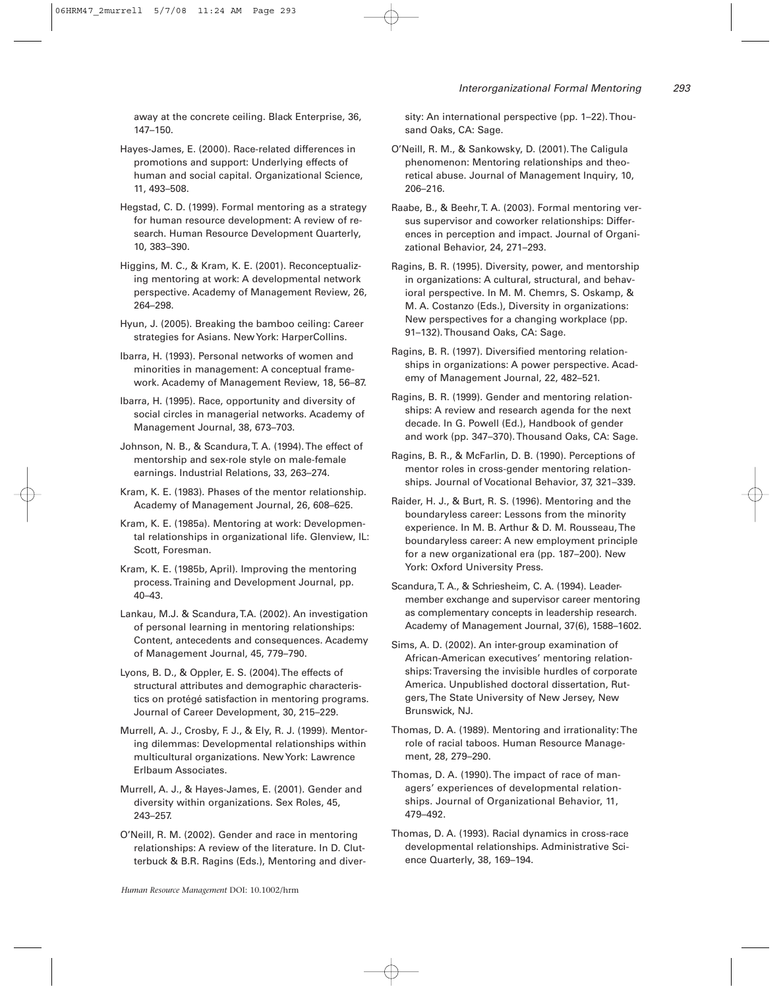away at the concrete ceiling. Black Enterprise, 36, 147–150.

Hayes-James, E. (2000). Race-related differences in promotions and support: Underlying effects of human and social capital. Organizational Science, 11, 493–508.

Hegstad, C. D. (1999). Formal mentoring as a strategy for human resource development: A review of research. Human Resource Development Quarterly, 10, 383–390.

Higgins, M. C., & Kram, K. E. (2001). Reconceptualizing mentoring at work: A developmental network perspective. Academy of Management Review, 26, 264–298.

Hyun, J. (2005). Breaking the bamboo ceiling: Career strategies for Asians. New York: HarperCollins.

Ibarra, H. (1993). Personal networks of women and minorities in management: A conceptual framework. Academy of Management Review, 18, 56–87.

Ibarra, H. (1995). Race, opportunity and diversity of social circles in managerial networks. Academy of Management Journal, 38, 673–703.

Johnson, N. B., & Scandura, T. A. (1994). The effect of mentorship and sex-role style on male-female earnings. Industrial Relations, 33, 263–274.

Kram, K. E. (1983). Phases of the mentor relationship. Academy of Management Journal, 26, 608–625.

Kram, K. E. (1985a). Mentoring at work: Developmental relationships in organizational life. Glenview, IL: Scott, Foresman.

Kram, K. E. (1985b, April). Improving the mentoring process. Training and Development Journal, pp. 40–43.

Lankau, M.J. & Scandura, T.A. (2002). An investigation of personal learning in mentoring relationships: Content, antecedents and consequences. Academy of Management Journal, 45, 779–790.

Lyons, B. D., & Oppler, E. S. (2004). The effects of structural attributes and demographic characteristics on protégé satisfaction in mentoring programs. Journal of Career Development, 30, 215–229.

Murrell, A. J., Crosby, F. J., & Ely, R. J. (1999). Mentoring dilemmas: Developmental relationships within multicultural organizations. New York: Lawrence Erlbaum Associates.

Murrell, A. J., & Hayes-James, E. (2001). Gender and diversity within organizations. Sex Roles, 45, 243–257.

O'Neill, R. M. (2002). Gender and race in mentoring relationships: A review of the literature. In D. Clutterbuck & B.R. Ragins (Eds.), Mentoring and diversity: An international perspective (pp. 1–22). Thousand Oaks, CA: Sage.

O'Neill, R. M., & Sankowsky, D. (2001). The Caligula phenomenon: Mentoring relationships and theoretical abuse. Journal of Management Inquiry, 10, 206–216.

Raabe, B., & Beehr, T. A. (2003). Formal mentoring versus supervisor and coworker relationships: Differences in perception and impact. Journal of Organizational Behavior, 24, 271–293.

Ragins, B. R. (1995). Diversity, power, and mentorship in organizations: A cultural, structural, and behavioral perspective. In M. M. Chemrs, S. Oskamp, & M. A. Costanzo (Eds.), Diversity in organizations: New perspectives for a changing workplace (pp. 91–132). Thousand Oaks, CA: Sage.

Ragins, B. R. (1997). Diversified mentoring relationships in organizations: A power perspective. Academy of Management Journal, 22, 482–521.

Ragins, B. R. (1999). Gender and mentoring relationships: A review and research agenda for the next decade. In G. Powell (Ed.), Handbook of gender and work (pp. 347–370). Thousand Oaks, CA: Sage.

Ragins, B. R., & McFarlin, D. B. (1990). Perceptions of mentor roles in cross-gender mentoring relationships. Journal of Vocational Behavior, 37, 321–339.

Raider, H. J., & Burt, R. S. (1996). Mentoring and the boundaryless career: Lessons from the minority experience. In M. B. Arthur & D. M. Rousseau, The boundaryless career: A new employment principle for a new organizational era (pp. 187–200). New York: Oxford University Press.

Scandura, T. A., & Schriesheim, C. A. (1994). Leadermember exchange and supervisor career mentoring as complementary concepts in leadership research. Academy of Management Journal, 37(6), 1588–1602.

Sims, A. D. (2002). An inter-group examination of African-American executives' mentoring relationships: Traversing the invisible hurdles of corporate America. Unpublished doctoral dissertation, Rutgers, The State University of New Jersey, New Brunswick, NJ.

Thomas, D. A. (1989). Mentoring and irrationality: The role of racial taboos. Human Resource Management, 28, 279–290.

Thomas, D. A. (1990). The impact of race of managers' experiences of developmental relationships. Journal of Organizational Behavior, 11, 479–492.

Thomas, D. A. (1993). Racial dynamics in cross-race developmental relationships. Administrative Science Quarterly, 38, 169–194.